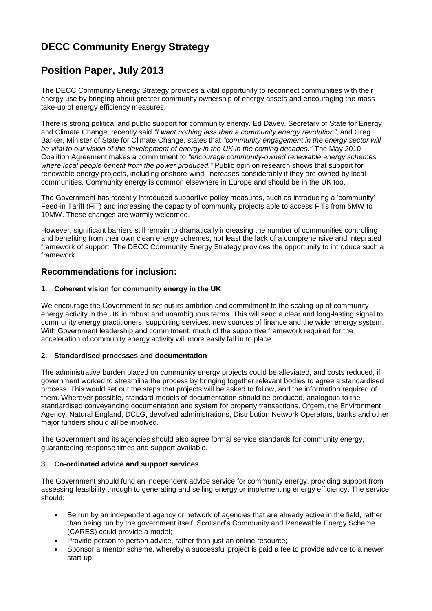# **DECC Community Energy Strategy**

## **Position Paper, July 2013**

The DECC Community Energy Strategy provides a vital opportunity to reconnect communities with their energy use by bringing about greater community ownership of energy assets and encouraging the mass take-up of energy efficiency measures.

There is strong political and public support for community energy. Ed Davey, Secretary of State for Energy and Climate Change, recently said *"I want nothing less than a community energy revolution"*, and Greg Barker, Minister of State for Climate Change, states that *"community engagement in the energy sector will be vital to our vision of the development of energy in the UK in the coming decades."* The May 2010 Coalition Agreement makes a commitment to *"encourage community-owned renewable energy schemes where local people benefit from the power produced."* Public opinion research shows that support for renewable energy projects, including onshore wind, increases considerably if they are owned by local communities. Community energy is common elsewhere in Europe and should be in the UK too.

The Government has recently introduced supportive policy measures, such as introducing a 'community' Feed-in Tariff (FiT) and increasing the capacity of community projects able to access FiTs from 5MW to 10MW. These changes are warmly welcomed.

However, significant barriers still remain to dramatically increasing the number of communities controlling and benefiting from their own clean energy schemes, not least the lack of a comprehensive and integrated framework of support. The DECC Community Energy Strategy provides the opportunity to introduce such a framework.

### **Recommendations for inclusion:**

#### **1. Coherent vision for community energy in the UK**

We encourage the Government to set out its ambition and commitment to the scaling up of community energy activity in the UK in robust and unambiguous terms. This will send a clear and long-lasting signal to community energy practitioners, supporting services, new sources of finance and the wider energy system. With Government leadership and commitment, much of the supportive framework required for the acceleration of community energy activity will more easily fall in to place.

#### **2. Standardised processes and documentation**

The administrative burden placed on community energy projects could be alleviated, and costs reduced, if government worked to streamline the process by bringing together relevant bodies to agree a standardised process. This would set out the steps that projects will be asked to follow, and the information required of them. Wherever possible, standard models of documentation should be produced, analogous to the standardised conveyancing documentation and system for property transactions. Ofgem, the Environment Agency, Natural England, DCLG, devolved administrations, Distribution Network Operators, banks and other major funders should all be involved.

The Government and its agencies should also agree formal service standards for community energy, guaranteeing response times and support available.

#### **3. Co-ordinated advice and support services**

The Government should fund an independent advice service for community energy, providing support from assessing feasibility through to generating and selling energy or implementing energy efficiency. The service should:

- Be run by an independent agency or network of agencies that are already active in the field, rather than being run by the government itself. Scotland's Community and Renewable Energy Scheme (CARES) could provide a model;
- Provide person to person advice, rather than just an online resource;
- Sponsor a mentor scheme, whereby a successful project is paid a fee to provide advice to a newer start-up;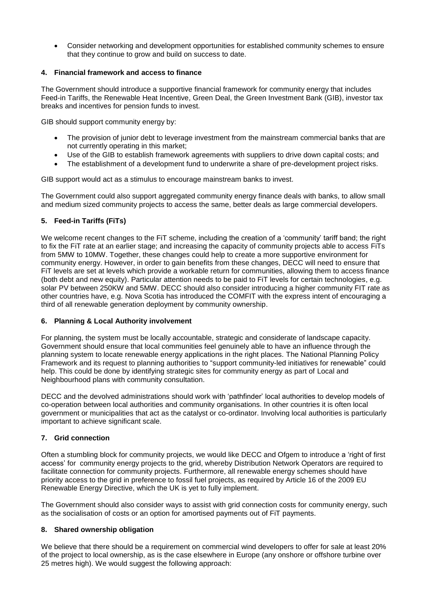Consider networking and development opportunities for established community schemes to ensure that they continue to grow and build on success to date.

#### **4. Financial framework and access to finance**

The Government should introduce a supportive financial framework for community energy that includes Feed-in Tariffs, the Renewable Heat Incentive, Green Deal, the Green Investment Bank (GIB), investor tax breaks and incentives for pension funds to invest.

GIB should support community energy by:

- The provision of junior debt to leverage investment from the mainstream commercial banks that are not currently operating in this market;
- Use of the GIB to establish framework agreements with suppliers to drive down capital costs; and
- The establishment of a development fund to underwrite a share of pre-development project risks.

GIB support would act as a stimulus to encourage mainstream banks to invest.

The Government could also support aggregated community energy finance deals with banks, to allow small and medium sized community projects to access the same, better deals as large commercial developers.

#### **5. Feed-in Tariffs (FiTs)**

We welcome recent changes to the FIT scheme, including the creation of a 'community' tariff band; the right to fix the FiT rate at an earlier stage; and increasing the capacity of community projects able to access FiTs from 5MW to 10MW. Together, these changes could help to create a more supportive environment for community energy. However, in order to gain benefits from these changes, DECC will need to ensure that FiT levels are set at levels which provide a workable return for communities, allowing them to access finance (both debt and new equity). Particular attention needs to be paid to FiT levels for certain technologies, e.g. solar PV between 250KW and 5MW. DECC should also consider introducing a higher community FIT rate as other countries have, e.g. Nova Scotia has introduced the COMFIT with the express intent of encouraging a third of all renewable generation deployment by community ownership.

#### **6. Planning & Local Authority involvement**

For planning, the system must be locally accountable, strategic and considerate of landscape capacity. Government should ensure that local communities feel genuinely able to have an influence through the planning system to locate renewable energy applications in the right places. The National Planning Policy Framework and its request to planning authorities to "support community-led initiatives for renewable" could help. This could be done by identifying strategic sites for community energy as part of Local and Neighbourhood plans with community consultation.

DECC and the devolved administrations should work with 'pathfinder' local authorities to develop models of co-operation between local authorities and community organisations. In other countries it is often local government or municipalities that act as the catalyst or co-ordinator. Involving local authorities is particularly important to achieve significant scale.

#### **7. Grid connection**

Often a stumbling block for community projects, we would like DECC and Ofgem to introduce a 'right of first access' for community energy projects to the grid, whereby Distribution Network Operators are required to facilitate connection for community projects. Furthermore, all renewable energy schemes should have priority access to the grid in preference to fossil fuel projects, as required by Article 16 of the 2009 EU Renewable Energy Directive, which the UK is yet to fully implement.

The Government should also consider ways to assist with grid connection costs for community energy, such as the socialisation of costs or an option for amortised payments out of FiT payments.

#### **8. Shared ownership obligation**

We believe that there should be a requirement on commercial wind developers to offer for sale at least 20% of the project to local ownership, as is the case elsewhere in Europe (any onshore or offshore turbine over 25 metres high). We would suggest the following approach: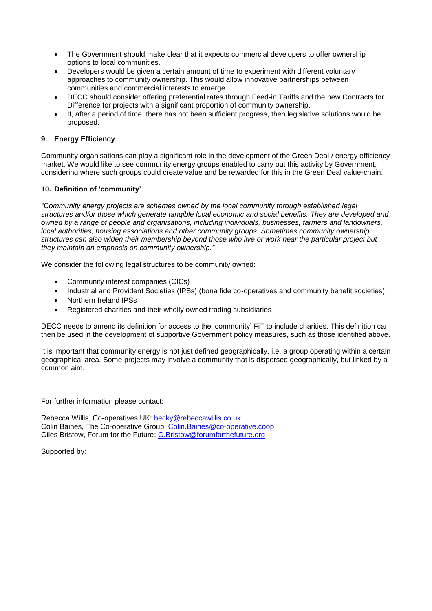- The Government should make clear that it expects commercial developers to offer ownership options to local communities.
- Developers would be given a certain amount of time to experiment with different voluntary approaches to community ownership. This would allow innovative partnerships between communities and commercial interests to emerge.
- DECC should consider offering preferential rates through Feed-in Tariffs and the new Contracts for Difference for projects with a significant proportion of community ownership.
- If, after a period of time, there has not been sufficient progress, then legislative solutions would be proposed.

#### **9. Energy Efficiency**

Community organisations can play a significant role in the development of the Green Deal / energy efficiency market. We would like to see community energy groups enabled to carry out this activity by Government, considering where such groups could create value and be rewarded for this in the Green Deal value-chain.

#### **10. Definition of 'community'**

*"Community energy projects are schemes owned by the local community through established legal structures and/or those which generate tangible local economic and social benefits. They are developed and owned by a range of people and organisations, including individuals, businesses, farmers and landowners, local authorities, housing associations and other community groups. Sometimes community ownership structures can also widen their membership beyond those who live or work near the particular project but they maintain an emphasis on community ownership."*

We consider the following legal structures to be community owned:

- Community interest companies (CICs)
- Industrial and Provident Societies (IPSs) (bona fide co-operatives and community benefit societies)
- Northern Ireland IPSs
- Registered charities and their wholly owned trading subsidiaries

DECC needs to amend its definition for access to the 'community' FiT to include charities. This definition can then be used in the development of supportive Government policy measures, such as those identified above.

It is important that community energy is not just defined geographically, i.e. a group operating within a certain geographical area. Some projects may involve a community that is dispersed geographically, but linked by a common aim.

For further information please contact:

Rebecca Willis, Co-operatives UK: [becky@rebeccawillis.co.uk](mailto:becky@rebeccawillis.co.uk) Colin Baines, The Co-operative Group: [Colin.Baines@co-operative.coop](mailto:Colin.Baines@co-operative.coop) Giles Bristow, Forum for the Future: [G.Bristow@forumforthefuture.org](mailto:G.Bristow@forumforthefuture.org) 

Supported by: